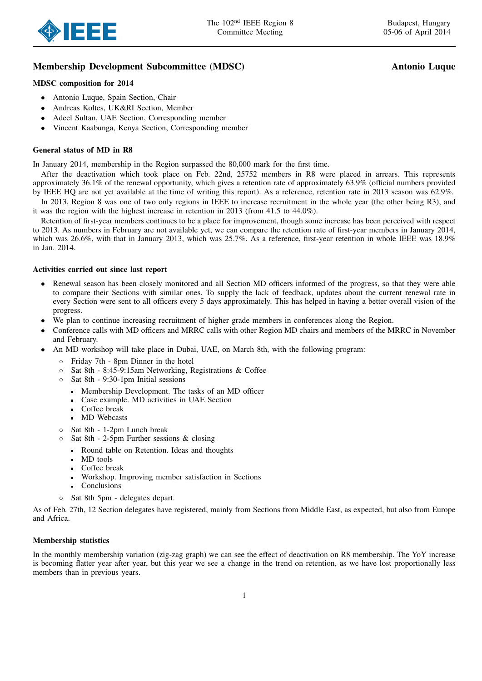# Membership Development Subcommittee (MDSC) Antonio Luque

### MDSC composition for 2014

- Antonio Luque, Spain Section, Chair
- Andreas Koltes, UK&RI Section, Member
- Adeel Sultan, UAE Section, Corresponding member
- Vincent Kaabunga, Kenya Section, Corresponding member

#### General status of MD in R8

In January 2014, membership in the Region surpassed the 80,000 mark for the first time.

After the deactivation which took place on Feb. 22nd, 25752 members in R8 were placed in arrears. This represents approximately 36.1% of the renewal opportunity, which gives a retention rate of approximately 63.9% (official numbers provided by IEEE HQ are not yet available at the time of writing this report). As a reference, retention rate in 2013 season was 62.9%.

In 2013, Region 8 was one of two only regions in IEEE to increase recruitment in the whole year (the other being R3), and it was the region with the highest increase in retention in 2013 (from 41.5 to 44.0%).

Retention of first-year members continues to be a place for improvement, though some increase has been perceived with respect to 2013. As numbers in February are not available yet, we can compare the retention rate of first-year members in January 2014, which was 26.6%, with that in January 2013, which was 25.7%. As a reference, first-year retention in whole IEEE was 18.9% in Jan. 2014.

#### Activities carried out since last report

- Renewal season has been closely monitored and all Section MD officers informed of the progress, so that they were able to compare their Sections with similar ones. To supply the lack of feedback, updates about the current renewal rate in every Section were sent to all officers every 5 days approximately. This has helped in having a better overall vision of the progress.
- We plan to continue increasing recruitment of higher grade members in conferences along the Region.
- Conference calls with MD officers and MRRC calls with other Region MD chairs and members of the MRRC in November and February.
- An MD workshop will take place in Dubai, UAE, on March 8th, with the following program:
	- Friday 7th 8pm Dinner in the hotel
	- Sat 8th 8:45-9:15am Networking, Registrations & Coffee
	- Sat 8th 9:30-1pm Initial sessions
		- Membership Development. The tasks of an MD officer
		- Case example. MD activities in UAE Section  $\blacksquare$
		- Coffee break
		- **MD** Webcasts
	- Sat 8th 1-2pm Lunch break
	- Sat 8th 2-5pm Further sessions & closing
		- Round table on Retention. Ideas and thoughts  $\blacksquare$
		- MD tools  $\blacksquare$
		- Coffee break
		- Workshop. Improving member satisfaction in Sections
		- Conclusions
	- Sat 8th 5pm delegates depart.

As of Feb. 27th, 12 Section delegates have registered, mainly from Sections from Middle East, as expected, but also from Europe and Africa.

#### Membership statistics

In the monthly membership variation (zig-zag graph) we can see the effect of deactivation on R8 membership. The YoY increase is becoming flatter year after year, but this year we see a change in the trend on retention, as we have lost proportionally less members than in previous years.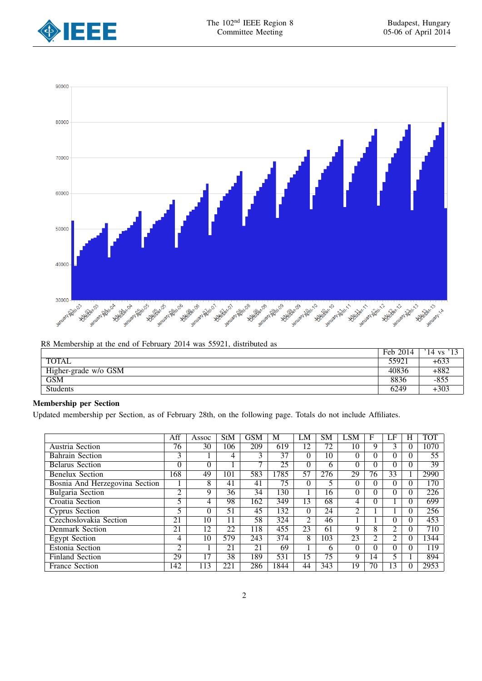



R8 Membership at the end of February 2014 was 55921, distributed as

|                      | Feb 2014 | $14 \text{ vs.}$ |
|----------------------|----------|------------------|
| TOTAL                | 55921    | $+633$           |
| Higher-grade w/o GSM | 40836    | $+882$           |
| <b>GSM</b>           | 8836     | -851             |
| <b>Students</b>      | 6249     | $+303$           |

## Membership per Section

Updated membership per Section, as of February 28th, on the following page. Totals do not include Affiliates.

|                                | Aff | Assoc | <b>StM</b>      | GSM | M    | LM              | SΜ               | LSM             | F               | LF             | H        | TOT              |
|--------------------------------|-----|-------|-----------------|-----|------|-----------------|------------------|-----------------|-----------------|----------------|----------|------------------|
| Austria Section                | 76  | 30    | 106             | 209 | 619  | 12              | 72               | 10              | 9               | 3              | 0        | 1070             |
| <b>Bahrain Section</b>         | 3   |       | 4               | 3   | 37   | 0               | 10               | $\theta$        | 0               | $\theta$       | 0        | 55               |
| <b>Belarus Section</b>         | 0   | 0     |                 | −   | 25   | 0               | 6                | $\theta$        | $\Omega$        | $\theta$       | 0        | 39               |
| <b>Benelux Section</b>         | 168 | 49    | 101             | 583 | 1785 | 57              | $2\overline{76}$ | 29              | 76              | 33             |          | 2990             |
| Bosnia And Herzegovina Section |     | 8     | 41              | 41  | 75   | 0               |                  | 0               | 0               | $\theta$       | 0        | $\overline{170}$ |
| <b>Bulgaria Section</b>        | ↑   | 9     | 36              | 34  | 130  |                 | 16               | $\theta$        | 0               | 0              | 0        | 226              |
| Croatia Section                |     | 4     | 98              | 162 | 349  | 13              | 68               | 4               | 0               |                | $\theta$ | 699              |
| <b>Cyprus Section</b>          |     | 0     | 51              | 45  | 132  | 0               | 24               | っ               |                 |                | 0        | 256              |
| Czechoslovakia Section         | 21  | 10    |                 | 58  | 324  | 2               | 46               |                 |                 | $\theta$       | 0        | 453              |
| Denmark Section                | 21  | 12    | $2\overline{2}$ | 118 | 455  | 23              | 61               | 9               | 8               | 2              | 0        | 710              |
| <b>Egypt Section</b>           | 4   | 10    | 579             | 243 | 374  | 8               | 103              | $2\overline{3}$ | 2               | $\overline{c}$ | $\theta$ | 1344             |
| <b>Estonia Section</b>         | າ   |       | 21              | 21  | 69   |                 | h                | $\theta$        | $\Omega$        | $\Omega$       | 0        | 119              |
| <b>Finland Section</b>         | 29  | 17    | 38              | 189 | 531  | $\overline{.5}$ | 75               | 9               | 14              |                |          | 894              |
| France Section                 | 142 | 113   | 221             | 286 | 1844 | 44              | 343              | 19              | $7\overline{0}$ | 13             | 0        | 2953             |